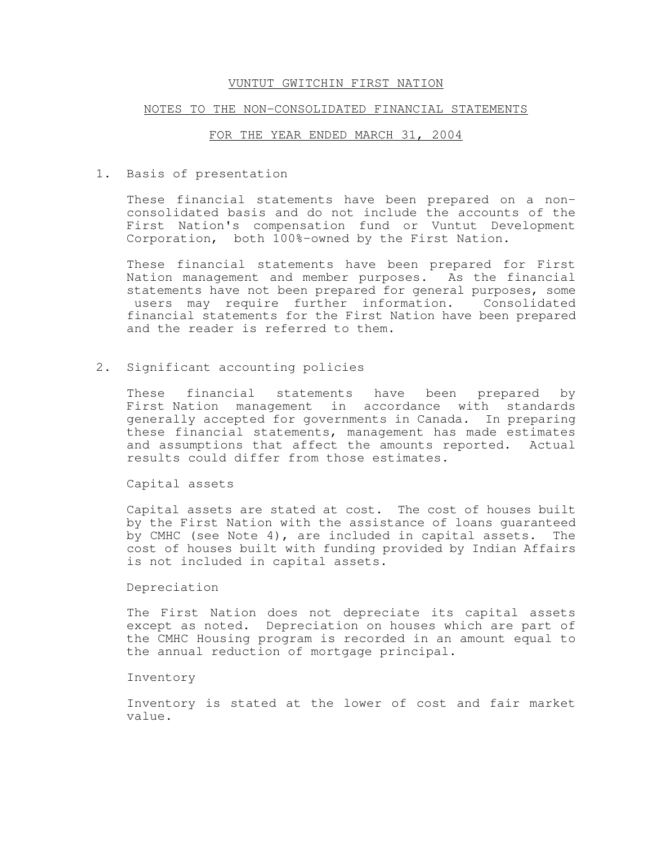### NOTES TO THE NON-CONSOLIDATED FINANCIAL STATEMENTS

#### FOR THE YEAR ENDED MARCH 31, 2004

1. Basis of presentation

These financial statements have been prepared on a nonconsolidated basis and do not include the accounts of the First Nation's compensation fund or Vuntut Development Corporation, both 100%-owned by the First Nation.

These financial statements have been prepared for First Nation management and member purposes. As the financial statements have not been prepared for general purposes, some users may require further information. Consolidated financial statements for the First Nation have been prepared and the reader is referred to them.

2. Significant accounting policies

These financial statements have been prepared by First Nation management in accordance with standards generally accepted for governments in Canada. In preparing these financial statements, management has made estimates and assumptions that affect the amounts reported. Actual results could differ from those estimates.

Capital assets

Capital assets are stated at cost. The cost of houses built by the First Nation with the assistance of loans guaranteed by CMHC (see Note 4), are included in capital assets. The cost of houses built with funding provided by Indian Affairs is not included in capital assets.

Depreciation

The First Nation does not depreciate its capital assets except as noted. Depreciation on houses which are part of the CMHC Housing program is recorded in an amount equal to the annual reduction of mortgage principal.

#### Inventory

Inventory is stated at the lower of cost and fair market value.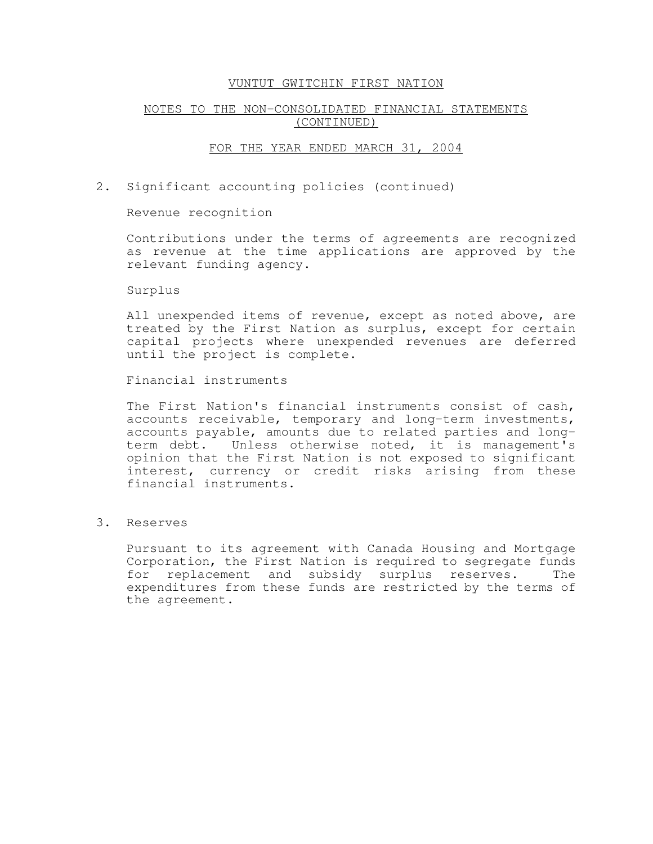# NOTES TO THE NON-CONSOLIDATED FINANCIAL STATEMENTS (CONTINUED)

## FOR THE YEAR ENDED MARCH 31, 2004

2. Significant accounting policies (continued)

Revenue recognition

Contributions under the terms of agreements are recognized as revenue at the time applications are approved by the relevant funding agency.

Surplus

All unexpended items of revenue, except as noted above, are treated by the First Nation as surplus, except for certain capital projects where unexpended revenues are deferred until the project is complete.

Financial instruments

The First Nation's financial instruments consist of cash, accounts receivable, temporary and long-term investments, accounts payable, amounts due to related parties and longterm debt. Unless otherwise noted, it is management's opinion that the First Nation is not exposed to significant interest, currency or credit risks arising from these financial instruments.

3. Reserves

Pursuant to its agreement with Canada Housing and Mortgage Corporation, the First Nation is required to segregate funds for replacement and subsidy surplus reserves. The expenditures from these funds are restricted by the terms of the agreement.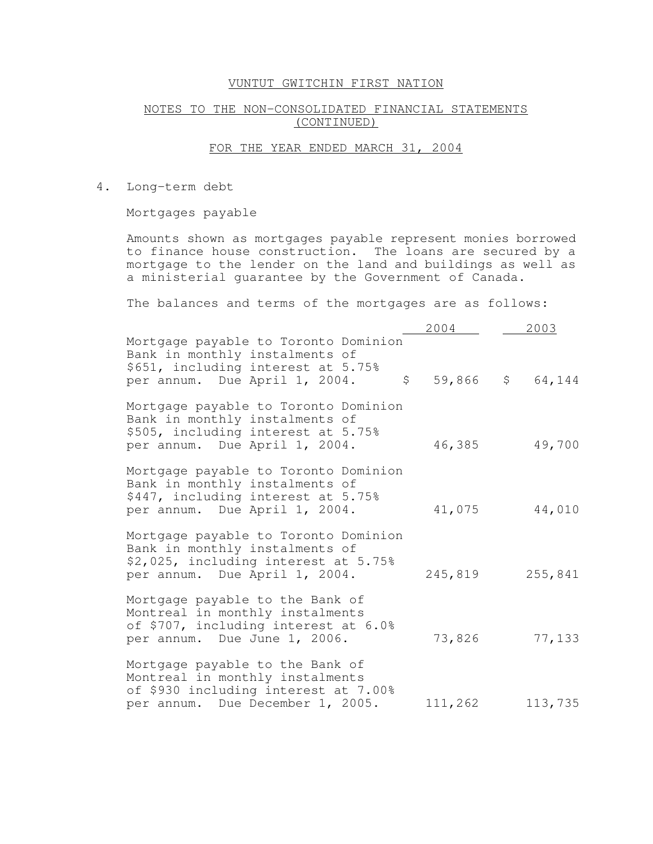# NOTES TO THE NON-CONSOLIDATED FINANCIAL STATEMENTS (CONTINUED)

# FOR THE YEAR ENDED MARCH 31, 2004

4. Long-term debt

Mortgages payable

Amounts shown as mortgages payable represent monies borrowed to finance house construction. The loans are secured by a mortgage to the lender on the land and buildings as well as a ministerial guarantee by the Government of Canada.

The balances and terms of the mortgages are as follows:

|                                                                                                                                                               | 2004        | 2003    |
|---------------------------------------------------------------------------------------------------------------------------------------------------------------|-------------|---------|
| Mortgage payable to Toronto Dominion<br>Bank in monthly instalments of<br>\$651, including interest at 5.75%<br>$\mathsf{S}$<br>per annum. Due April 1, 2004. | $59,866$ \$ | 64,144  |
| Mortgage payable to Toronto Dominion<br>Bank in monthly instalments of<br>\$505, including interest at 5.75%<br>per annum. Due April 1, 2004.                 | 46,385      | 49,700  |
| Mortgage payable to Toronto Dominion<br>Bank in monthly instalments of<br>\$447, including interest at 5.75%<br>per annum. Due April 1, 2004.                 | 41,075      | 44,010  |
| Mortgage payable to Toronto Dominion<br>Bank in monthly instalments of<br>\$2,025, including interest at 5.75%<br>per annum. Due April 1, 2004.               | 245,819     | 255,841 |
| Mortgage payable to the Bank of<br>Montreal in monthly instalments<br>of \$707, including interest at 6.0%<br>per annum. Due June 1, 2006.                    | 73,826      | 77,133  |
| Mortgage payable to the Bank of<br>Montreal in monthly instalments<br>of \$930 including interest at 7.00%<br>per annum. Due December 1, 2005.                | 111,262     | 113,735 |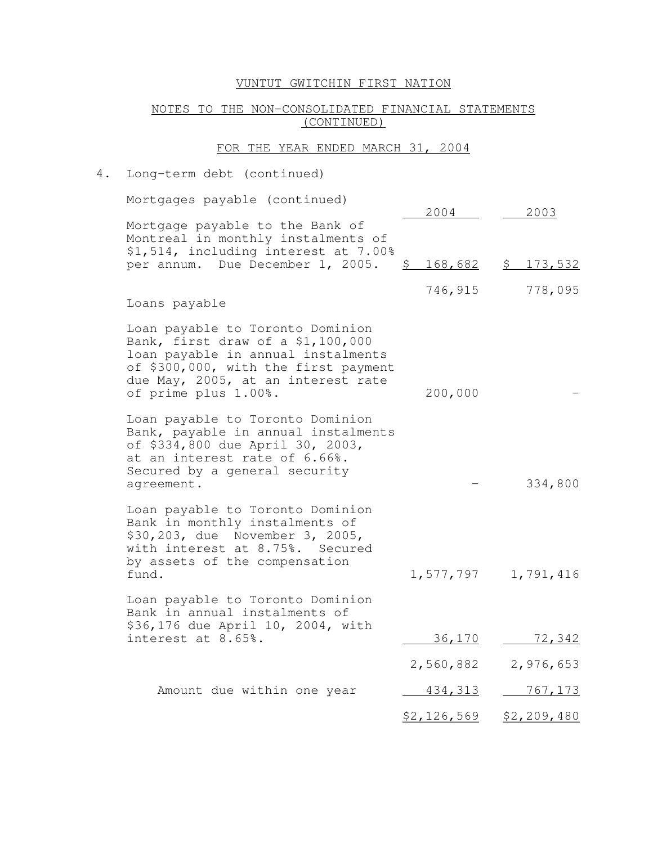## NOTES TO THE NON-CONSOLIDATED FINANCIAL STATEMENTS (CONTINUED)

#### FOR THE YEAR ENDED MARCH 31, 2004

## 4. Long-term debt (continued)

Mortgages payable (continued) 2004 2003 Mortgage payable to the Bank of Montreal in monthly instalments of \$1,514, including interest at 7.00% per annum. Due December 1, 2005. \$ 168,682 \$ 173,532 746,915 778,095 Loans payable Loan payable to Toronto Dominion Bank, first draw of a \$1,100,000 loan payable in annual instalments of \$300,000, with the first payment due May, 2005, at an interest rate of prime plus 1.00%. 200,000 - Loan payable to Toronto Dominion Bank, payable in annual instalments of \$334,800 due April 30, 2003, at an interest rate of 6.66%. Secured by a general security agreement.  $-$  334,800 Loan payable to Toronto Dominion Bank in monthly instalments of \$30,203, due November 3, 2005, with interest at 8.75%. Secured by assets of the compensation fund. 1,577,797 1,791,416 Loan payable to Toronto Dominion Bank in annual instalments of \$36,176 due April 10, 2004, with interest at 8.65%. 36,170 72,342 2,560,882 2,976,653 Amount due within one year 434,313 767,173 \$2,126,569 \$2,209,480